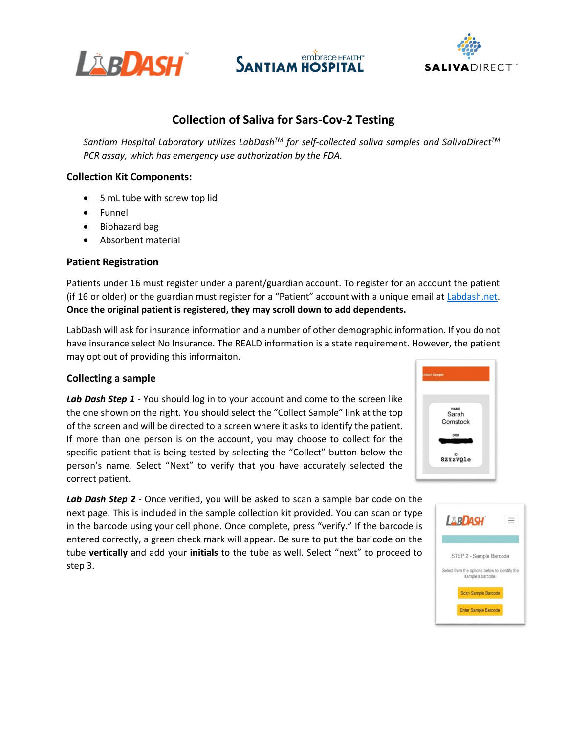





# **Collection of Saliva for Sars-Cov-2 Testing**

*Santiam Hospital Laboratory utilizes LabDashTM for self-collected saliva samples and SalivaDirectTM PCR assay, which has emergency use authorization by the FDA.*

### **Collection Kit Components:**

- 5 mL tube with screw top lid
- Funnel
- Biohazard bag
- Absorbent material

### **Patient Registration**

Patients under 16 must register under a parent/guardian account. To register for an account the patient (if 16 or older) or the guardian must register for a "Patient" account with a unique email a[t Labdash.net.](Labdash.net) **Once the original patient is registered, they may scroll down to add dependents.**

LabDash will ask for insurance information and a number of other demographic information. If you do not have insurance select No Insurance. The REALD information is a state requirement. However, the patient may opt out of providing this informaiton.

#### **Collecting a sample**

**Lab Dash Step 1** - You should log in to your account and come to the screen like the one shown on the right. You should select the "Collect Sample" link at the top of the screen and will be directed to a screen where it asks to identify the patient. If more than one person is on the account, you may choose to collect for the specific patient that is being tested by selecting the "Collect" button below the person's name. Select "Next" to verify that you have accurately selected the correct patient.

Lab Dash Step 2 - Once verified, you will be asked to scan a sample bar code on the next page. This is included in the sample collection kit provided. You can scan or type in the barcode using your cell phone. Once complete, press "verify." If the barcode is entered correctly, a green check mark will appear. Be sure to put the bar code on the tube **vertically** and add your **initials** to the tube as well. Select "next" to proceed to step 3.



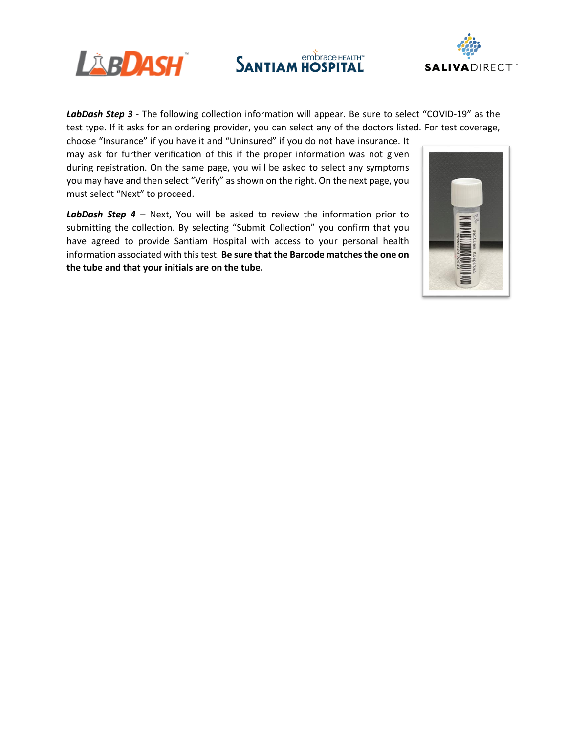

embrace HEALTH™ **SANTIAM HOSPITAL** 



LabDash Step 3 - The following collection information will appear. Be sure to select "COVID-19" as the test type. If it asks for an ordering provider, you can select any of the doctors listed. For test coverage,

choose "Insurance" if you have it and "Uninsured" if you do not have insurance. It may ask for further verification of this if the proper information was not given during registration. On the same page, you will be asked to select any symptoms you may have and then select "Verify" as shown on the right. On the next page, you must select "Next" to proceed.

*LabDash Step 4 –* Next, You will be asked to review the information prior to submitting the collection. By selecting "Submit Collection" you confirm that you have agreed to provide Santiam Hospital with access to your personal health information associated with this test. **Be sure that the Barcode matches the one on the tube and that your initials are on the tube.**